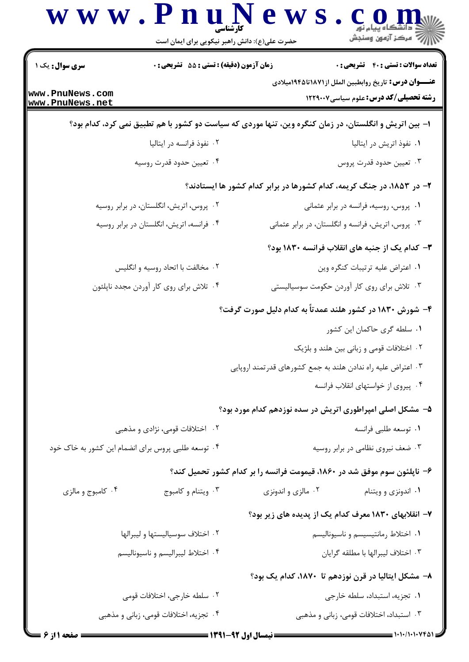|                                                              | <b>زمان آزمون (دقیقه) : تستی : 55 تشریحی : 0</b>   | <b>تعداد سوالات : تستي : 40 - تشريحي : 0</b>                                                                  |
|--------------------------------------------------------------|----------------------------------------------------|---------------------------------------------------------------------------------------------------------------|
| <b>سری سوال :</b> یک ۱<br>www.PnuNews.com<br>www.PnuNews.net |                                                    | <b>عنــــوان درس:</b> تاريخ روابطبين الملل از١٨٧١تا١٩٤٤ميلادي<br><b>رشته تحصیلی/کد درس:</b> علوم سیاسی1۲۲۹۰۰۷ |
|                                                              |                                                    | ا– بین اتریش و انگلستان، در زمان کنگره وین، تنها موردی که سیاست دو کشور با هم تطبیق نمی کرد، کدام بود؟        |
|                                                              | ۰۲ نفوذ فرانسه در ایتالیا                          | ۰۱ نفوذ اتریش در ایتالیا                                                                                      |
|                                                              | ۰۴ تعيين حدود قدرت روسيه                           | ۰۳ تعيين حدود قدرت پروس                                                                                       |
|                                                              |                                                    | ۲– در ۱۸۵۳، در جنگ کریمه، کدام کشورها در برابر کدام کشور ها ایستادند؟                                         |
|                                                              | ۰۲ پروس، اتریش، انگلستان، در برابر روسیه           | ٠١. پروس، روسيه، فرانسه در برابر عثماني                                                                       |
|                                                              | ۰۴ فرانسه، اتریش، انگلستان در برابر روسیه          | ۰۳ پروس، اتریش، فرانسه و انگلستان، در برابر عثمانی                                                            |
|                                                              |                                                    | ۳- کدام یک از جنبه های انقلاب فرانسه ۱۸۳۰ بود؟                                                                |
|                                                              | ۰۲ مخالفت با اتحاد روسیه و انگلیس                  | ٠١ اعتراض عليه ترتيبات كنكره وين                                                                              |
|                                                              | ۰۴ تلاش برای روی کار آوردن مجدد ناپلئون            | ۰۳ تلاش برای روی کار آوردن حکومت سوسیالیستی                                                                   |
|                                                              |                                                    | ۴- شورش ۱۸۳۰ در کشور هلند عمدتاً به کدام دلیل صورت گرفت؟                                                      |
|                                                              |                                                    | ٠١. سلطه گرى حاكمان اين كشور                                                                                  |
|                                                              |                                                    | ۰۲ اختلافات قومی و زبانی بین هلند و بلژیک                                                                     |
|                                                              |                                                    | ۰۳ اعتراض علیه راه ندادن هلند به جمع کشورهای قدرتمند اروپایی                                                  |
|                                                              |                                                    | ۰۴ پیروی از خواستهای انقلاب فرانسه                                                                            |
|                                                              |                                                    | ۵– مشکل اصلی امپراطوری اتریش در سده نوزدهم کدام مورد بود؟                                                     |
|                                                              | ۰۲ اختلافات قومی، نژادی و مذهبی                    | ٠١ توسعه طلبي فرانسه                                                                                          |
|                                                              | ۰۴ توسعه طلبی پروس برای انضمام این کشور به خاک خود | ۰۳ ضعف نیروی نظامی در برابر روسیه                                                                             |
|                                                              |                                                    | ۶– ناپلئون سوم موفق شد در ۱۸۶۰، قیمومت فرانسه را بر کدام کشور تحمیل کند؟                                      |
| ۰۴ کامبوج و مالزی                                            | ۰۳ ویتنام و کامبوج                                 | ۰۲ مالزی و اندونزی<br>۰۱ اندونزی و ویتنام                                                                     |
|                                                              |                                                    | ۷- انقلابهای ۱۸۳۰ معرف کدام یک از پدیده های زیر بود؟                                                          |
|                                                              | ٠٢ اختلاف سوسياليستها وليبرالها                    | ٠١ اختلاط رمانتيسيسم و ناسيوناليسم                                                                            |
|                                                              | ۰۴ اختلاط ليبراليسم و ناسيوناليسم                  | ٠٣ اختلاف ليبرالها با مطلقه گرايان                                                                            |
|                                                              |                                                    | ۸– مشکل ایتالیا در قرن نوزدهم تا ۱۸۷۰، کدام یک بود؟                                                           |
|                                                              | ۰۲ سلطه خارجي، اختلافات قومي                       | ٠١ تجزيه، استبداد، سلطه خارجي                                                                                 |
|                                                              | ۰۴ تجزیه، اختلافات قومی، زبانی و مذهبی             | ۰۳ استبداد، اختلافات قومی، زبانی و مذهبی                                                                      |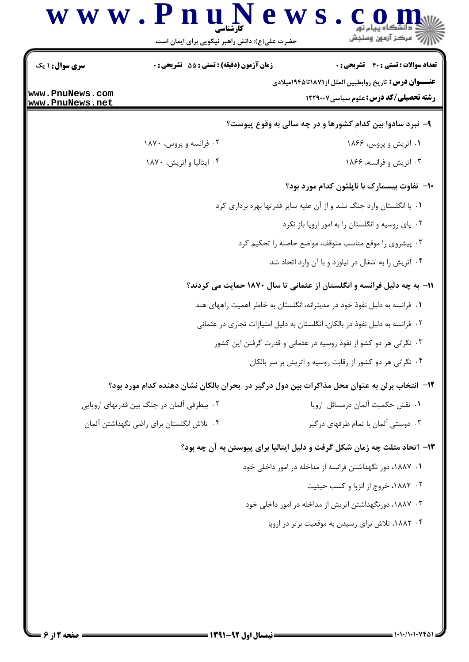

## ۱۳- اتحاد مثلث چه زمان شکل گرفت و دلیل ایتالیا برای پیوستن به آن چه بود؟

- ۰۱ ۱۸۸۷، دور نگهداشتن فرانسه از مداخله در امور داخلی خود
	- ۰۲ ۱۸۸۲، خروج از انزوا و کسب حیثیت
- ۰۳ ، ۱۸۸۷، دورنگهداشتن اتریش از مداخله در امور داخلی خود
	- ۰۴ ۱۸۸۲، تلاش برای رسیدن به موقعیت برتر در اروپا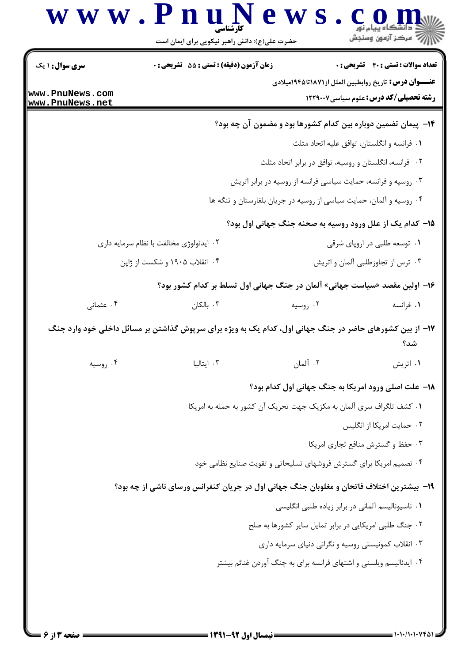|                                         | حضرت علی(ع): دانش راهبر نیکویی برای ایمان است                                                           |                                                                            | ڪ دانشڪاه پيام نور<br>  <i> √</i> مرڪز آزمون وسنڊش |  |
|-----------------------------------------|---------------------------------------------------------------------------------------------------------|----------------------------------------------------------------------------|----------------------------------------------------|--|
| <b>سری سوال : ۱ یک</b>                  | <b>زمان آزمون (دقیقه) : تستی : 55 تشریحی : 0</b>                                                        |                                                                            | <b>تعداد سوالات : تستی : 40 قشریحی : 0</b>         |  |
| www.PnuNews.com<br>www.PnuNews.net      |                                                                                                         | <b>عنــــوان درس:</b> تاريخ روابطبين الملل از١٨٧١تا ١٩٤۵ميلادي             | <b>رشته تحصیلی/کد درس:</b> علوم سیاسی1۲۲۹۰۰۷       |  |
|                                         |                                                                                                         | ۱۴- پیمان تضمین دوباره بین کدام کشورها بود و مضمون آن چه بود؟              |                                                    |  |
|                                         |                                                                                                         |                                                                            | ۰۱ فرانسه و انگلستان، توافق علیه اتحاد مثلث        |  |
|                                         |                                                                                                         | ۰۲ فرانسه، انگلستان و روسیه، توافق در برابر اتحاد مثلث                     |                                                    |  |
|                                         |                                                                                                         | ۰۳ روسیه و فرانسه، حمایت سیاسی فرانسه از روسیه در برابر اتریش              |                                                    |  |
|                                         |                                                                                                         | ۰۴ روسیه و آلمان، حمایت سیاسی از روسیه در جریان بلغارستان و تنگه ها        |                                                    |  |
|                                         |                                                                                                         | ۱۵- کدام یک از علل ورود روسیه به صحنه جنگ جهانی اول بود؟                   |                                                    |  |
| ۰۲ ایدئولوژی مخالفت با نظام سرمایه داری |                                                                                                         |                                                                            | ۰۱ توسعه طلبی در اروپای شرقی                       |  |
|                                         | ۰۴ انقلاب ۱۹۰۵ و شکست از ژاپن                                                                           |                                                                            | ۰۳ ترس از تجاوزطلبی آلمان و اتریش                  |  |
|                                         |                                                                                                         | ۱۶– اولین مقصد «سیاست جهانی» آلمان در جنگ جهانی اول تسلط بر کدام کشور بود؟ |                                                    |  |
| ۰۴ عثمانی                               | ۰۳ بالکان                                                                                               | ۰۲ روسیه                                                                   | ۰۱ فرانسه                                          |  |
|                                         | ۱۷– از بین کشورهای حاضر در جنگ جهانی اول، کدام یک به ویژه برای سرپوش گذاشتن بر مسائل داخلی خود وارد جنگ |                                                                            | شد؟                                                |  |
| ۰۴ روسیه                                | ۰۳ ایتالیا                                                                                              | ۰۲ آلمان                                                                   | ۰۱ اتریش                                           |  |
|                                         |                                                                                                         | 18- علت اصلي ورود امريكا به جنگ جهاني اول كدام بود؟                        |                                                    |  |
|                                         |                                                                                                         | ١. كشف تلگراف سرى آلمان به مكزيک جهت تحريک آن كشور به حمله به امريكا       |                                                    |  |
|                                         |                                                                                                         |                                                                            | ۰۲ حمایت امریکا از انگلیس                          |  |
|                                         |                                                                                                         |                                                                            | ۰۳ حفظ و گسترش منافع تجاری امریکا                  |  |
|                                         |                                                                                                         | ۰۴ تصمیم امریکا برای گسترش فروشهای تسلیحاتی و تقویت صنایع نظامی خود        |                                                    |  |
|                                         | ۱۹- بیشترین اختلاف فاتحان و مغلوبان جنگ جهانی اول در جریان کنفرانس ورسای ناشی از چه بود؟                |                                                                            |                                                    |  |
|                                         |                                                                                                         | ۰۱ ناسیونالیسم آلمانی در برابر زیاده طلبی انگلیسی                          |                                                    |  |
|                                         |                                                                                                         | ۰۲ جنگ طلبی امریکایی در برابر تمایل سایر کشورها به صلح                     |                                                    |  |
|                                         |                                                                                                         | ۰۳ انقلاب کمونیستی روسیه و نگرانی دنیای سرمایه داری                        |                                                    |  |
|                                         |                                                                                                         | ۰۴ ایدئالیسم ویلسنی و اشتهای فرانسه برای به چنگ آوردن غنائم بیشتر          |                                                    |  |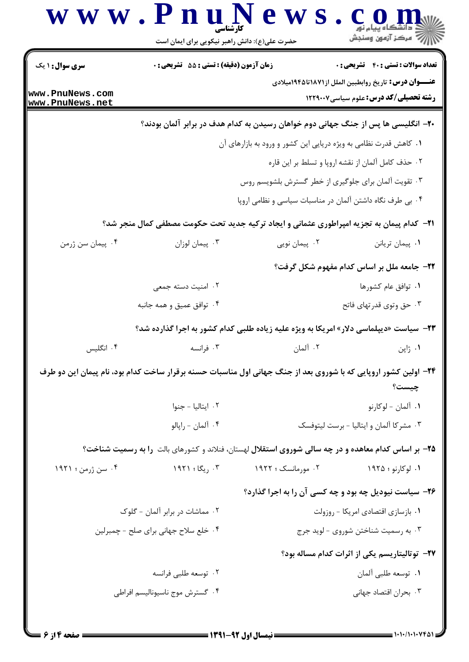| <b>سری سوال : ۱ یک</b>               | <b>زمان آزمون (دقیقه) : تستی : 55 تشریحی : 0</b> |                                                                                                                 | <b>تعداد سوالات : تستی : 40 - تشریحی : 0</b>                                                                  |
|--------------------------------------|--------------------------------------------------|-----------------------------------------------------------------------------------------------------------------|---------------------------------------------------------------------------------------------------------------|
| www.PnuNews.com<br>www.PnuNews.net   |                                                  |                                                                                                                 | <b>عنــــوان درس:</b> تاريخ روابطبين الملل از١٨٧١تا١٩٤٥ميلادي<br><b>رشته تحصیلی/کد درس:</b> علوم سیاسی1۲۲۹۰۰۷ |
|                                      |                                                  | ۲۰– انگلیسی ها پس از جنگ جهانی دوم خواهان رسیدن به کدام هدف در برابر آلمان بودند؟                               |                                                                                                               |
|                                      |                                                  | ۰۱ کاهش قدرت نظامی به ویژه دریایی این کشور و ورود به بازارهای آن                                                |                                                                                                               |
|                                      |                                                  |                                                                                                                 | ٠٢ حذف كامل آلمان از نقشه اروپا و تسلط بر اين قاره                                                            |
|                                      |                                                  | ۰۳ تقویت آلمان برای جلوگیری از خطر گسترش بلشویسم روس                                                            |                                                                                                               |
|                                      |                                                  | ۰۴ بی طرف نگاه داشتن آلمان در مناسبات سیاسی و نظامی اروپا                                                       |                                                                                                               |
|                                      |                                                  | 21- کدام پیمان به تجزیه امپراطوری عثمانی و ایجاد ترکیه جدید تحت حکومت مصطفی کمال منجر شد؟                       |                                                                                                               |
| ۰۴ پیمان سن ژرمن                     | ۰۳ پیمان لوزان                                   | ۰۲ پیمان نویی                                                                                                   | ۰۱ پیمان تریانن                                                                                               |
|                                      |                                                  |                                                                                                                 | ۲۲- جامعه ملل بر اساس کدام مفهوم شکل گرفت؟                                                                    |
|                                      | ۰۲ امنیت دسته جمعی                               |                                                                                                                 | ٠١ توافق عام كشورها                                                                                           |
|                                      | ۰۴ توافق عمیق و همه جانبه                        |                                                                                                                 | ۰۳ حق وتوی قدرتهای فاتح                                                                                       |
|                                      |                                                  | <b>۲۳</b> - سیاست «دیپلماسی دلار» امریکا به ویژه علیه زیاده طلبی کدام کشور به اجرا گذارده شد؟                   |                                                                                                               |
| ۰۴ انگلیس                            | ۰۳ فرانسه                                        | ۰۲ آلمان                                                                                                        | ۰۱ ژاپن                                                                                                       |
|                                      |                                                  | ۲۴- اولین کشور اروپایی که با شوروی بعد از جنگ جهانی اول مناسبات حسنه برقرار ساخت کدام بود، نام پیمان این دو طرف |                                                                                                               |
|                                      |                                                  |                                                                                                                 | چیست؟                                                                                                         |
|                                      | ۰۲ ایتالیا - جنوا                                |                                                                                                                 | ٠١. آلمان – لوكارنو                                                                                           |
|                                      | ۰۴ آلمان - راپالو                                |                                                                                                                 | ٠٣ مشركا آلمان وايتاليا - برست ليتوفسك                                                                        |
|                                      |                                                  | ۲۵- بر اساس کدام معاهده و در چه سالی شوروی استقلال لهستان، فنلاند و کشورهای بالت آرا به رسمیت شناخت؟            |                                                                                                               |
| ۰۴ سن ژرمن ؛ ۱۹۲۱                    | ۰۳ ریگا ؛ ۱۹۲۱                                   | ۰۲ مورمانسک ؛ ۱۹۲۲                                                                                              | ۰۱ لوکارنو ؛ ۱۹۲۵                                                                                             |
|                                      |                                                  | ۲۶- سیاست نیودیل چه بود و چه کسی آن را به اجرا گذارد؟                                                           |                                                                                                               |
| ۰۲ مماشات در برابر آلمان - گلوک      |                                                  |                                                                                                                 | ۰۱ بازسازی اقتصادی امریکا - روزولت                                                                            |
| ۰۴ خلع سلاح جهاني براي صلح - چمبرلين |                                                  |                                                                                                                 | ۰۳ به رسمیت شناختن شوروی - لوید جرج                                                                           |
|                                      |                                                  |                                                                                                                 | ٢٧- توتاليتاريسم يكي از اثرات كدام مساله بود؟                                                                 |
|                                      | ۰۲ توسعه طلبی فرانسه                             |                                                                                                                 | ٠١ توسعه طلبي ألمان                                                                                           |
|                                      | ۰۴ گسترش موج ناسیونالیسم افراطی                  |                                                                                                                 | ۰۳ بحران اقتصاد جهاني                                                                                         |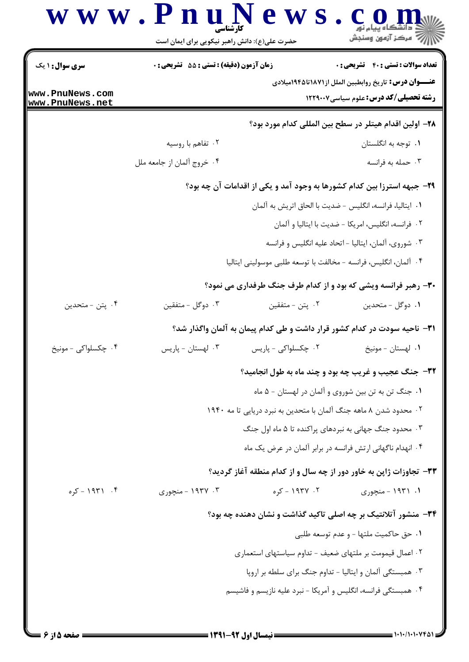|                        |                                                  | حضرت علی(ع): دانش راهبر نیکویی برای ایمان است                     |                                                                                                                |
|------------------------|--------------------------------------------------|-------------------------------------------------------------------|----------------------------------------------------------------------------------------------------------------|
| <b>سری سوال : ۱ یک</b> | <b>زمان آزمون (دقیقه) : تستی : 55 تشریحی : 0</b> |                                                                   | <b>تعداد سوالات : تستی : 40 قشریحی : 0</b>                                                                     |
| www.PnuNews.com        |                                                  |                                                                   | <b>عنــــوان درس :</b> تاریخ روابطبین الملل از۱۸۷۱تا۱۹۴۵میلادی<br><b>رشته تحصیلی/کد درس:</b> علوم سیاسی1۲۲۹۰۰۷ |
| www.PnuNews.net        |                                                  |                                                                   |                                                                                                                |
|                        | ۰۲ تفاهم با روسیه                                |                                                                   | ٢٨- اولين اقدام هيتلر در سطح بين المللي كدام مورد بود؟<br>۰۱ توجه به انگلستان                                  |
|                        | ۰۴ خروج آلمان از جامعه ملل                       |                                                                   | ۰۳ حمله به فرانسه                                                                                              |
|                        |                                                  |                                                                   |                                                                                                                |
|                        |                                                  |                                                                   | ۲۹- جبهه استرزا بین کدام کشورها به وجود آمد و یکی از اقدامات آن چه بود؟                                        |
|                        |                                                  | ٠١. ايتاليا، فرانسه، انگليس - ضديت با الحاق اتريش به آلمان        | ۰۲ فرانسه، انگلیس، امریکا - ضدیت با ایتالیا و آلمان                                                            |
|                        |                                                  |                                                                   | ۰۳ شوروی، آلمان، ایتالیا - اتحاد علیه انگلیس و فرانسه                                                          |
|                        |                                                  | ۰۴ آلمان، انگلیس، فرانسه - مخالفت با توسعه طلبی موسولینی ایتالیا  |                                                                                                                |
|                        |                                                  |                                                                   | ۳۰- رهبر فرانسه ویشی که بود و از کدام طرف جنگ طرفداری می نمود؟                                                 |
| ۰۴ پتن - متحدين        | ۰۳ دوگل - متفقين                                 | ۰۲ پتن - متفقین                                                   | ٠١ دوگل - متحدين                                                                                               |
|                        |                                                  |                                                                   |                                                                                                                |
|                        |                                                  |                                                                   | ۳۱– ناحیه سودت در کدام کشور قرار داشت و طی کدام پیمان به آلمان واگذار شد؟                                      |
| ۰۴ چکسلواکی - مونیخ    | ۰۳ لهستان - پاریس                                | ۰۲ چکسلواکی - پاریس                                               | ۰۱ لهستان - مونيخ                                                                                              |
|                        |                                                  |                                                                   | 32- جنگ عجیب و غریب چه بود و چند ماه به طول انجامید؟                                                           |
|                        |                                                  | ٠١ جنگ تن به تن بين شوروى و آلمان در لهستان - ۵ ماه               |                                                                                                                |
|                        |                                                  | ۰۲ محدود شدن ۸ ماهه جنگ آلمان با متحدین به نبرد دریایی تا مه ۱۹۴۰ |                                                                                                                |
|                        |                                                  | ۰۳ محدود جنگ جهانی به نبردهای پراکنده تا ۵ ماه اول جنگ            |                                                                                                                |
|                        |                                                  | ۰۴ انهدام ناگهانی ارتش فرانسه در برابر آلمان در عرض یک ماه        |                                                                                                                |
|                        |                                                  |                                                                   | ۳۳- تجاوزات ژاپن به خاور دور از چه سال و از کدام منطقه آغاز گردید؟                                             |
| ۰۴ - ۱۹۳۱ - کړه        | ۰۳ - ۱۹۳۷ - منجوری                               | ۲. ۱۹۳۷ - کړه                                                     | ۰۱. ۱۹۳۱ - منچوری                                                                                              |
|                        |                                                  |                                                                   | ۳۴- منشور آتلانتیک بر چه اصلی تاکید گذاشت و نشان دهنده چه بود؟                                                 |
|                        |                                                  |                                                                   | ٠١ حق حاكميت ملتها - و عدم توسعه طلبي                                                                          |
|                        |                                                  | ۰۲ اعمال قیمومت بر ملتهای ضعیف - تداوم سیاستهای استعماری          |                                                                                                                |
|                        |                                                  | ۰۳ همبستگی آلمان و ایتالیا - تداوم جنگ برای سلطه بر اروپا         |                                                                                                                |
|                        |                                                  | ۰۴ همبستگی فرانسه، انگلیس و آمریکا - نبرد علیه نازیسم و فاشیسم    |                                                                                                                |